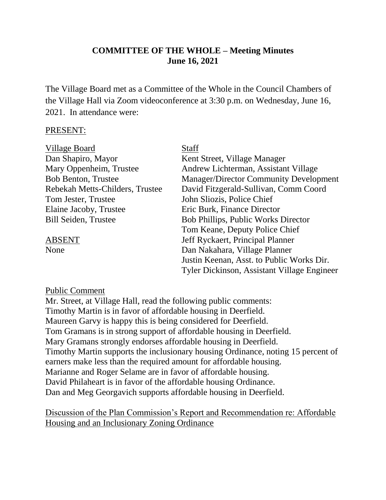## **COMMITTEE OF THE WHOLE – Meeting Minutes June 16, 2021**

The Village Board met as a Committee of the Whole in the Council Chambers of the Village Hall via Zoom videoconference at 3:30 p.m. on Wednesday, June 16, 2021. In attendance were:

#### PRESENT:

| Village Board                   | <b>Staff</b>                                  |
|---------------------------------|-----------------------------------------------|
| Dan Shapiro, Mayor              | Kent Street, Village Manager                  |
| Mary Oppenheim, Trustee         | Andrew Lichterman, Assistant Village          |
| <b>Bob Benton, Trustee</b>      | <b>Manager/Director Community Development</b> |
| Rebekah Metts-Childers, Trustee | David Fitzgerald-Sullivan, Comm Coord         |
| Tom Jester, Trustee             | John Sliozis, Police Chief                    |
| Elaine Jacoby, Trustee          | Eric Burk, Finance Director                   |
| <b>Bill Seiden, Trustee</b>     | <b>Bob Phillips, Public Works Director</b>    |
|                                 | Tom Keane, Deputy Police Chief                |
| <b>ABSENT</b>                   | Jeff Ryckaert, Principal Planner              |
| None                            | Dan Nakahara, Village Planner                 |
|                                 | Justin Keenan, Asst. to Public Works Dir.     |
|                                 | Tyler Dickinson, Assistant Village Engineer   |

#### Public Comment

Mr. Street, at Village Hall, read the following public comments: Timothy Martin is in favor of affordable housing in Deerfield. Maureen Garvy is happy this is being considered for Deerfield. Tom Gramans is in strong support of affordable housing in Deerfield. Mary Gramans strongly endorses affordable housing in Deerfield. Timothy Martin supports the inclusionary housing Ordinance, noting 15 percent of earners make less than the required amount for affordable housing. Marianne and Roger Selame are in favor of affordable housing. David Philaheart is in favor of the affordable housing Ordinance. Dan and Meg Georgavich supports affordable housing in Deerfield.

Discussion of the Plan Commission's Report and Recommendation re: Affordable Housing and an Inclusionary Zoning Ordinance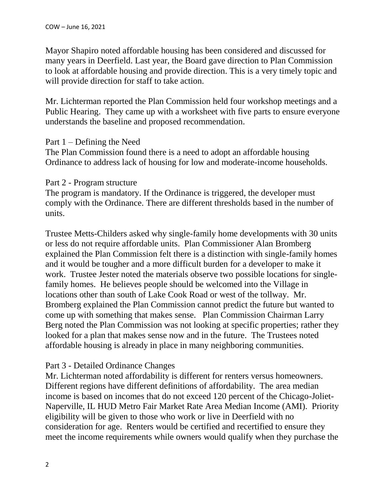Mayor Shapiro noted affordable housing has been considered and discussed for many years in Deerfield. Last year, the Board gave direction to Plan Commission to look at affordable housing and provide direction. This is a very timely topic and will provide direction for staff to take action.

Mr. Lichterman reported the Plan Commission held four workshop meetings and a Public Hearing. They came up with a worksheet with five parts to ensure everyone understands the baseline and proposed recommendation.

## Part  $1$  – Defining the Need

The Plan Commission found there is a need to adopt an affordable housing Ordinance to address lack of housing for low and moderate-income households.

## Part 2 - Program structure

The program is mandatory. If the Ordinance is triggered, the developer must comply with the Ordinance. There are different thresholds based in the number of units.

Trustee Metts-Childers asked why single-family home developments with 30 units or less do not require affordable units. Plan Commissioner Alan Bromberg explained the Plan Commission felt there is a distinction with single-family homes and it would be tougher and a more difficult burden for a developer to make it work. Trustee Jester noted the materials observe two possible locations for singlefamily homes. He believes people should be welcomed into the Village in locations other than south of Lake Cook Road or west of the tollway. Mr. Bromberg explained the Plan Commission cannot predict the future but wanted to come up with something that makes sense. Plan Commission Chairman Larry Berg noted the Plan Commission was not looking at specific properties; rather they looked for a plan that makes sense now and in the future. The Trustees noted affordable housing is already in place in many neighboring communities.

# Part 3 - Detailed Ordinance Changes

Mr. Lichterman noted affordability is different for renters versus homeowners. Different regions have different definitions of affordability. The area median income is based on incomes that do not exceed 120 percent of the Chicago-Joliet-Naperville, IL HUD Metro Fair Market Rate Area Median Income (AMI). Priority eligibility will be given to those who work or live in Deerfield with no consideration for age. Renters would be certified and recertified to ensure they meet the income requirements while owners would qualify when they purchase the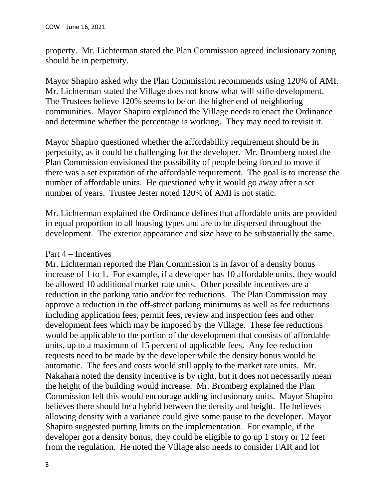property. Mr. Lichterman stated the Plan Commission agreed inclusionary zoning should be in perpetuity.

Mayor Shapiro asked why the Plan Commission recommends using 120% of AMI. Mr. Lichterman stated the Village does not know what will stifle development. The Trustees believe 120% seems to be on the higher end of neighboring communities. Mayor Shapiro explained the Village needs to enact the Ordinance and determine whether the percentage is working. They may need to revisit it.

Mayor Shapiro questioned whether the affordability requirement should be in perpetuity, as it could be challenging for the developer. Mr. Bromberg noted the Plan Commission envisioned the possibility of people being forced to move if there was a set expiration of the affordable requirement. The goal is to increase the number of affordable units. He questioned why it would go away after a set number of years. Trustee Jester noted 120% of AMI is not static.

Mr. Lichterman explained the Ordinance defines that affordable units are provided in equal proportion to all housing types and are to be dispersed throughout the development. The exterior appearance and size have to be substantially the same.

## Part 4 – Incentives

Mr. Lichterman reported the Plan Commission is in favor of a density bonus increase of 1 to 1. For example, if a developer has 10 affordable units, they would be allowed 10 additional market rate units. Other possible incentives are a reduction in the parking ratio and/or fee reductions. The Plan Commission may approve a reduction in the off-street parking minimums as well as fee reductions including application fees, permit fees, review and inspection fees and other development fees which may be imposed by the Village. These fee reductions would be applicable to the portion of the development that consists of affordable units, up to a maximum of 15 percent of applicable fees. Any fee reduction requests need to be made by the developer while the density bonus would be automatic. The fees and costs would still apply to the market rate units. Mr. Nakahara noted the density incentive is by right, but it does not necessarily mean the height of the building would increase. Mr. Bromberg explained the Plan Commission felt this would encourage adding inclusionary units. Mayor Shapiro believes there should be a hybrid between the density and height. He believes allowing density with a variance could give some pause to the developer. Mayor Shapiro suggested putting limits on the implementation. For example, if the developer got a density bonus, they could be eligible to go up 1 story or 12 feet from the regulation. He noted the Village also needs to consider FAR and lot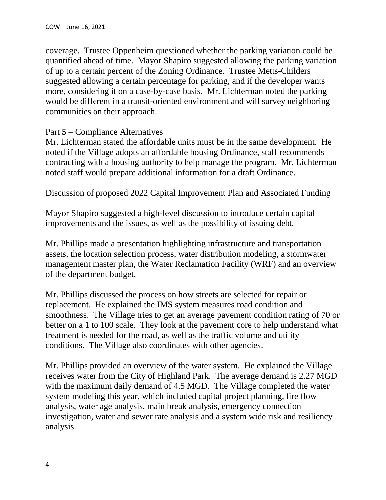coverage. Trustee Oppenheim questioned whether the parking variation could be quantified ahead of time. Mayor Shapiro suggested allowing the parking variation of up to a certain percent of the Zoning Ordinance. Trustee Metts-Childers suggested allowing a certain percentage for parking, and if the developer wants more, considering it on a case-by-case basis. Mr. Lichterman noted the parking would be different in a transit-oriented environment and will survey neighboring communities on their approach.

## Part 5 – Compliance Alternatives

Mr. Lichterman stated the affordable units must be in the same development. He noted if the Village adopts an affordable housing Ordinance, staff recommends contracting with a housing authority to help manage the program. Mr. Lichterman noted staff would prepare additional information for a draft Ordinance.

#### Discussion of proposed 2022 Capital Improvement Plan and Associated Funding

Mayor Shapiro suggested a high-level discussion to introduce certain capital improvements and the issues, as well as the possibility of issuing debt.

Mr. Phillips made a presentation highlighting infrastructure and transportation assets, the location selection process, water distribution modeling, a stormwater management master plan, the Water Reclamation Facility (WRF) and an overview of the department budget.

Mr. Phillips discussed the process on how streets are selected for repair or replacement. He explained the IMS system measures road condition and smoothness. The Village tries to get an average pavement condition rating of 70 or better on a 1 to 100 scale. They look at the pavement core to help understand what treatment is needed for the road, as well as the traffic volume and utility conditions. The Village also coordinates with other agencies.

Mr. Phillips provided an overview of the water system. He explained the Village receives water from the City of Highland Park. The average demand is 2.27 MGD with the maximum daily demand of 4.5 MGD. The Village completed the water system modeling this year, which included capital project planning, fire flow analysis, water age analysis, main break analysis, emergency connection investigation, water and sewer rate analysis and a system wide risk and resiliency analysis.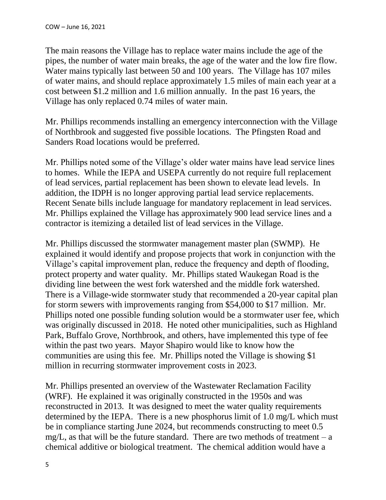The main reasons the Village has to replace water mains include the age of the pipes, the number of water main breaks, the age of the water and the low fire flow. Water mains typically last between 50 and 100 years. The Village has 107 miles of water mains, and should replace approximately 1.5 miles of main each year at a cost between \$1.2 million and 1.6 million annually. In the past 16 years, the Village has only replaced 0.74 miles of water main.

Mr. Phillips recommends installing an emergency interconnection with the Village of Northbrook and suggested five possible locations. The Pfingsten Road and Sanders Road locations would be preferred.

Mr. Phillips noted some of the Village's older water mains have lead service lines to homes. While the IEPA and USEPA currently do not require full replacement of lead services, partial replacement has been shown to elevate lead levels. In addition, the IDPH is no longer approving partial lead service replacements. Recent Senate bills include language for mandatory replacement in lead services. Mr. Phillips explained the Village has approximately 900 lead service lines and a contractor is itemizing a detailed list of lead services in the Village.

Mr. Phillips discussed the stormwater management master plan (SWMP). He explained it would identify and propose projects that work in conjunction with the Village's capital improvement plan, reduce the frequency and depth of flooding, protect property and water quality. Mr. Phillips stated Waukegan Road is the dividing line between the west fork watershed and the middle fork watershed. There is a Village-wide stormwater study that recommended a 20-year capital plan for storm sewers with improvements ranging from \$54,000 to \$17 million. Mr. Phillips noted one possible funding solution would be a stormwater user fee, which was originally discussed in 2018. He noted other municipalities, such as Highland Park, Buffalo Grove, Northbrook, and others, have implemented this type of fee within the past two years. Mayor Shapiro would like to know how the communities are using this fee. Mr. Phillips noted the Village is showing \$1 million in recurring stormwater improvement costs in 2023.

Mr. Phillips presented an overview of the Wastewater Reclamation Facility (WRF). He explained it was originally constructed in the 1950s and was reconstructed in 2013. It was designed to meet the water quality requirements determined by the IEPA. There is a new phosphorus limit of 1.0 mg/L which must be in compliance starting June 2024, but recommends constructing to meet 0.5 mg/L, as that will be the future standard. There are two methods of treatment  $- a$ chemical additive or biological treatment. The chemical addition would have a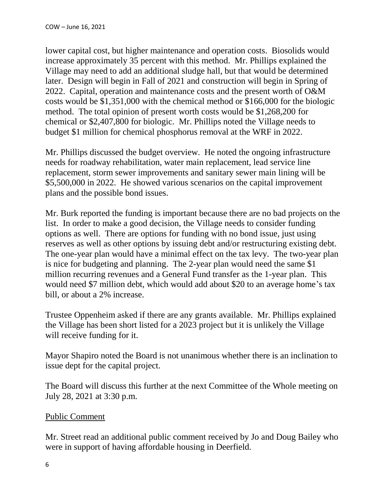lower capital cost, but higher maintenance and operation costs. Biosolids would increase approximately 35 percent with this method. Mr. Phillips explained the Village may need to add an additional sludge hall, but that would be determined later. Design will begin in Fall of 2021 and construction will begin in Spring of 2022. Capital, operation and maintenance costs and the present worth of O&M costs would be \$1,351,000 with the chemical method or \$166,000 for the biologic method. The total opinion of present worth costs would be \$1,268,200 for chemical or \$2,407,800 for biologic. Mr. Phillips noted the Village needs to budget \$1 million for chemical phosphorus removal at the WRF in 2022.

Mr. Phillips discussed the budget overview. He noted the ongoing infrastructure needs for roadway rehabilitation, water main replacement, lead service line replacement, storm sewer improvements and sanitary sewer main lining will be \$5,500,000 in 2022. He showed various scenarios on the capital improvement plans and the possible bond issues.

Mr. Burk reported the funding is important because there are no bad projects on the list. In order to make a good decision, the Village needs to consider funding options as well. There are options for funding with no bond issue, just using reserves as well as other options by issuing debt and/or restructuring existing debt. The one-year plan would have a minimal effect on the tax levy. The two-year plan is nice for budgeting and planning. The 2-year plan would need the same \$1 million recurring revenues and a General Fund transfer as the 1-year plan. This would need \$7 million debt, which would add about \$20 to an average home's tax bill, or about a 2% increase.

Trustee Oppenheim asked if there are any grants available. Mr. Phillips explained the Village has been short listed for a 2023 project but it is unlikely the Village will receive funding for it.

Mayor Shapiro noted the Board is not unanimous whether there is an inclination to issue dept for the capital project.

The Board will discuss this further at the next Committee of the Whole meeting on July 28, 2021 at 3:30 p.m.

## Public Comment

Mr. Street read an additional public comment received by Jo and Doug Bailey who were in support of having affordable housing in Deerfield.